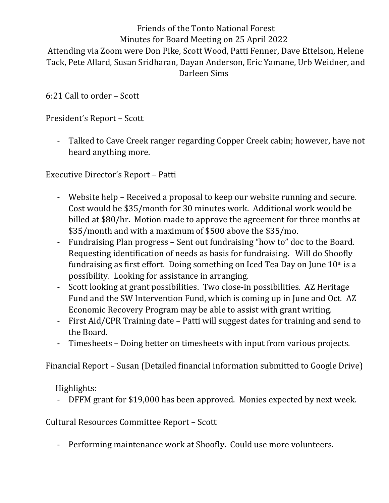## Friends of the Tonto National Forest Minutes for Board Meeting on 25 April 2022 Attending via Zoom were Don Pike, Scott Wood, Patti Fenner, Dave Ettelson, Helene Tack, Pete Allard, Susan Sridharan, Dayan Anderson, Eric Yamane, Urb Weidner, and

Darleen Sims

6:21 Call to order – Scott

President's Report – Scott

- Talked to Cave Creek ranger regarding Copper Creek cabin; however, have not heard anything more.

- Executive Director's Report Patti<br>- Website help Received a proposal to keep our website running and secure. Cost would be \$35/month for 30 minutes work. Additional work would be billed at \$80/hr. Motion made to approve the agreement for three months at \$35/month and with a maximum of \$500 above the \$35/mo.
	- Fundraising Plan progress Sent out fundraising "how to" doc to the Board. Requesting identification of needs as basis for fundraising. Will do Shoofly fundraising as first effort. Doing something on Iced Tea Day on June  $10<sup>th</sup>$  is a possibility. Looking for assistance in arranging.
	- Scott looking at grant possibilities. Two close-in possibilities. AZ Heritage Fund and the SW Intervention Fund, which is coming up in June and Oct. AZ Economic Recovery Program may be able to assist with grant writing.
	- First Aid/CPR Training date Patti will suggest dates for training and send to the Board.
	- Timesheets Doing better on timesheets with input from various projects.

Financial Report – Susan (Detailed financial information submitted to Google Drive)

Highlights:<br>- DFFM grant for \$19,000 has been approved. Monies expected by next week.

Cultural Resources Committee Report – Scott

- Performing maintenance work at Shoofly. Could use more volunteers.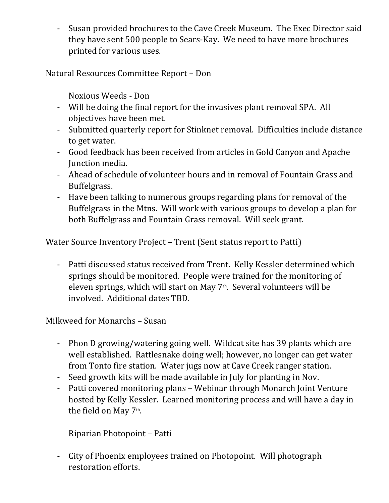- Susan provided brochures to the Cave Creek Museum. The Exec Director said they have sent 500 people to Sears-Kay. We need to have more brochures printed for various uses.

Natural Resources Committee Report – Don

Noxious Weeds - Don

- Will be doing the final report for the invasives plant removal SPA. All objectives have been met.
- Submitted quarterly report for Stinknet removal. Difficulties include distance
- to get water.<br>- Good feedback has been received from articles in Gold Canyon and Apache Junction media.
- Ahead of schedule of volunteer hours and in removal of Fountain Grass and Buffelgrass. - Have been talking to numerous groups regarding plans for removal of the
- Buffelgrass in the Mtns. Will work with various groups to develop a plan for both Buffelgrass and Fountain Grass removal. Will seek grant.

Water Source Inventory Project – Trent (Sent status report to Patti)

- Patti discussed status received from Trent. Kelly Kessler determined which springs should be monitored. People were trained for the monitoring of eleven springs, which will start on May  $7<sup>th</sup>$ . Several volunteers will be involved. Additional dates TBD.

Milkweed for Monarchs – Susan

- Phon D growing/watering going well. Wildcat site has 39 plants which are well established. Rattlesnake doing well; however, no longer can get water from Tonto fire station. Water jugs now at Cave Creek ranger station. - Seed growth kits will be made available in July for planting in Nov.
- 
- Patti covered monitoring plans Webinar through Monarch Joint Venture hosted by Kelly Kessler. Learned monitoring process and will have a day in the field on May 7<sup>th</sup>.

. Riparian Photopoint – Patti

- City of Phoenix employees trained on Photopoint. Will photograph restoration efforts.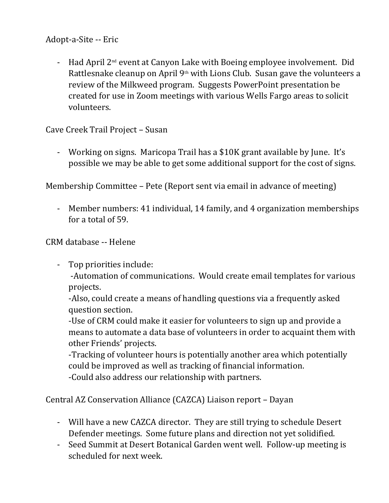Adopt-a-Site -- Eric<br>- Had April 2<sup>nd</sup> event at Canyon Lake with Boeing employee involvement. Did Rattlesnake cleanup on April  $9<sup>th</sup>$  with Lions Club. Susan gave the volunteers a review of the Milkweed program. Suggests PowerPoint presentation be created for use in Zoom meetings with various Wells Fargo areas to solicit volunteers.

Cave Creek Trail Project – Susan

- Working on signs. Maricopa Trail has a \$10K grant available by June. It's possible we may be able to get some additional support for the cost of signs.

Membership Committee – Pete (Report sent via email in advance of meeting)

- Member numbers: 41 individual, 14 family, and 4 organization memberships for a total of 59.

CRM database -- Helene

- Top priorities include:

 -Automation of communications. Would create email templates for various projects.

-Also, could create a means of handling questions via a frequently asked question section.

-Use of CRM could make it easier for volunteers to sign up and provide a means to automate a data base of volunteers in order to acquaint them with other Friends' projects.

-Tracking of volunteer hours is potentially another area which potentially could be improved as well as tracking of financial information. -Could also address our relationship with partners.

Central AZ Conservation Alliance (CAZCA) Liaison report – Dayan

- Will have a new CAZCA director. They are still trying to schedule Desert Defender meetings. Some future plans and direction not yet solidified. - Seed Summit at Desert Botanical Garden went well. Follow-up meeting is
- scheduled for next week.